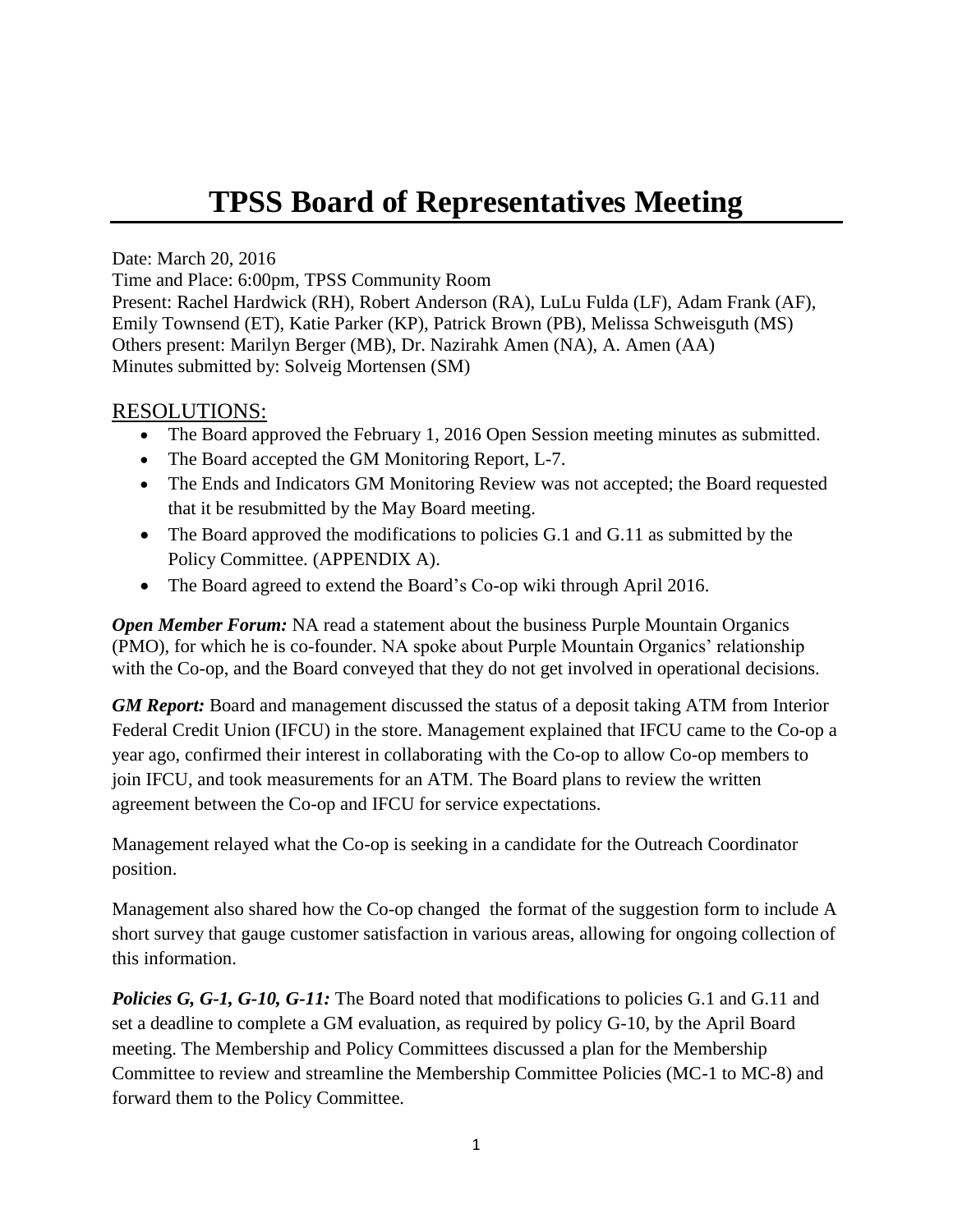## **TPSS Board of Representatives Meeting**

Date: March 20, 2016

Time and Place: 6:00pm, TPSS Community Room

Present: Rachel Hardwick (RH), Robert Anderson (RA), LuLu Fulda (LF), Adam Frank (AF), Emily Townsend (ET), Katie Parker (KP), Patrick Brown (PB), Melissa Schweisguth (MS) Others present: Marilyn Berger (MB), Dr. Nazirahk Amen (NA), A. Amen (AA) Minutes submitted by: Solveig Mortensen (SM)

## RESOLUTIONS:

- The Board approved the February 1, 2016 Open Session meeting minutes as submitted.
- The Board accepted the GM Monitoring Report, L-7.
- The Ends and Indicators GM Monitoring Review was not accepted; the Board requested that it be resubmitted by the May Board meeting.
- The Board approved the modifications to policies G.1 and G.11 as submitted by the Policy Committee. (APPENDIX A).
- The Board agreed to extend the Board's Co-op wiki through April 2016.

*Open Member Forum:* NA read a statement about the business Purple Mountain Organics (PMO), for which he is co-founder. NA spoke about Purple Mountain Organics' relationship with the Co-op, and the Board conveyed that they do not get involved in operational decisions.

*GM Report:* Board and management discussed the status of a deposit taking ATM from Interior Federal Credit Union (IFCU) in the store. Management explained that IFCU came to the Co-op a year ago, confirmed their interest in collaborating with the Co-op to allow Co-op members to join IFCU, and took measurements for an ATM. The Board plans to review the written agreement between the Co-op and IFCU for service expectations.

Management relayed what the Co-op is seeking in a candidate for the Outreach Coordinator position.

Management also shared how the Co-op changed the format of the suggestion form to include A short survey that gauge customer satisfaction in various areas, allowing for ongoing collection of this information.

*Policies G, G-1, G-10, G-11:* The Board noted that modifications to policies G.1 and G.11 and set a deadline to complete a GM evaluation, as required by policy G-10, by the April Board meeting. The Membership and Policy Committees discussed a plan for the Membership Committee to review and streamline the Membership Committee Policies (MC-1 to MC-8) and forward them to the Policy Committee.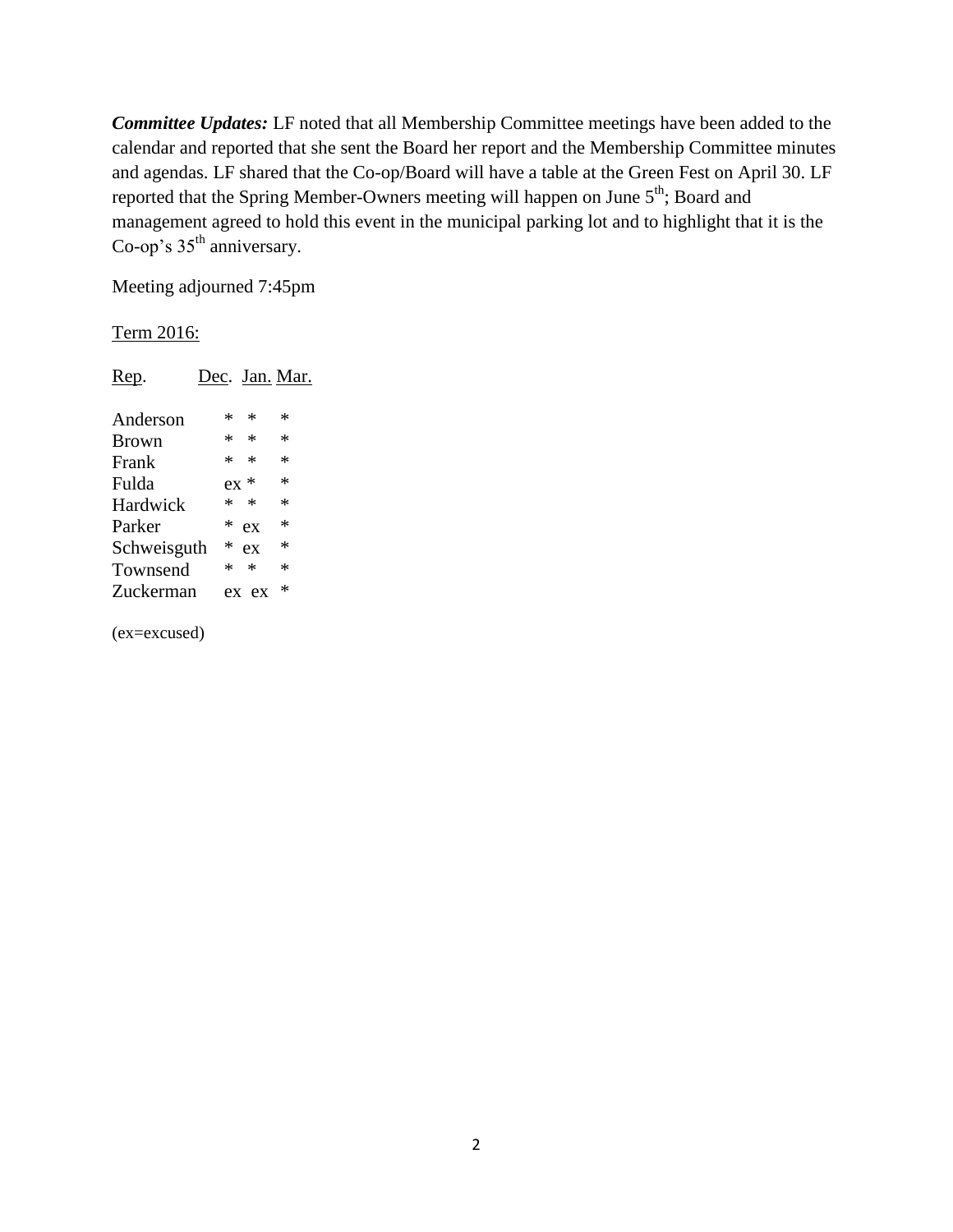*Committee Updates:* LF noted that all Membership Committee meetings have been added to the calendar and reported that she sent the Board her report and the Membership Committee minutes and agendas. LF shared that the Co-op/Board will have a table at the Green Fest on April 30. LF reported that the Spring Member-Owners meeting will happen on June 5<sup>th</sup>; Board and management agreed to hold this event in the municipal parking lot and to highlight that it is the Co-op's  $35<sup>th</sup>$  anniversary.

Meeting adjourned 7:45pm

## Term 2016:

| Rep.         | Dec. Jan. Mar. |        |
|--------------|----------------|--------|
| Anderson     | ∗<br>* .       | *      |
| <b>Brown</b> | $*$ *          | $\ast$ |
| Frank        | $\ast$<br>*    | *      |
| Fulda        | $ex *$         | ∗      |
| Hardwick     | $\ast$<br>*    | *      |
| Parker       | *<br>ex        | ∗      |
| Schweisguth  | *<br>ex        | ∗      |
| Townsend     | *<br>*         | *      |
| Zuckerman    | ex ex          | *      |
|              |                |        |

(ex=excused)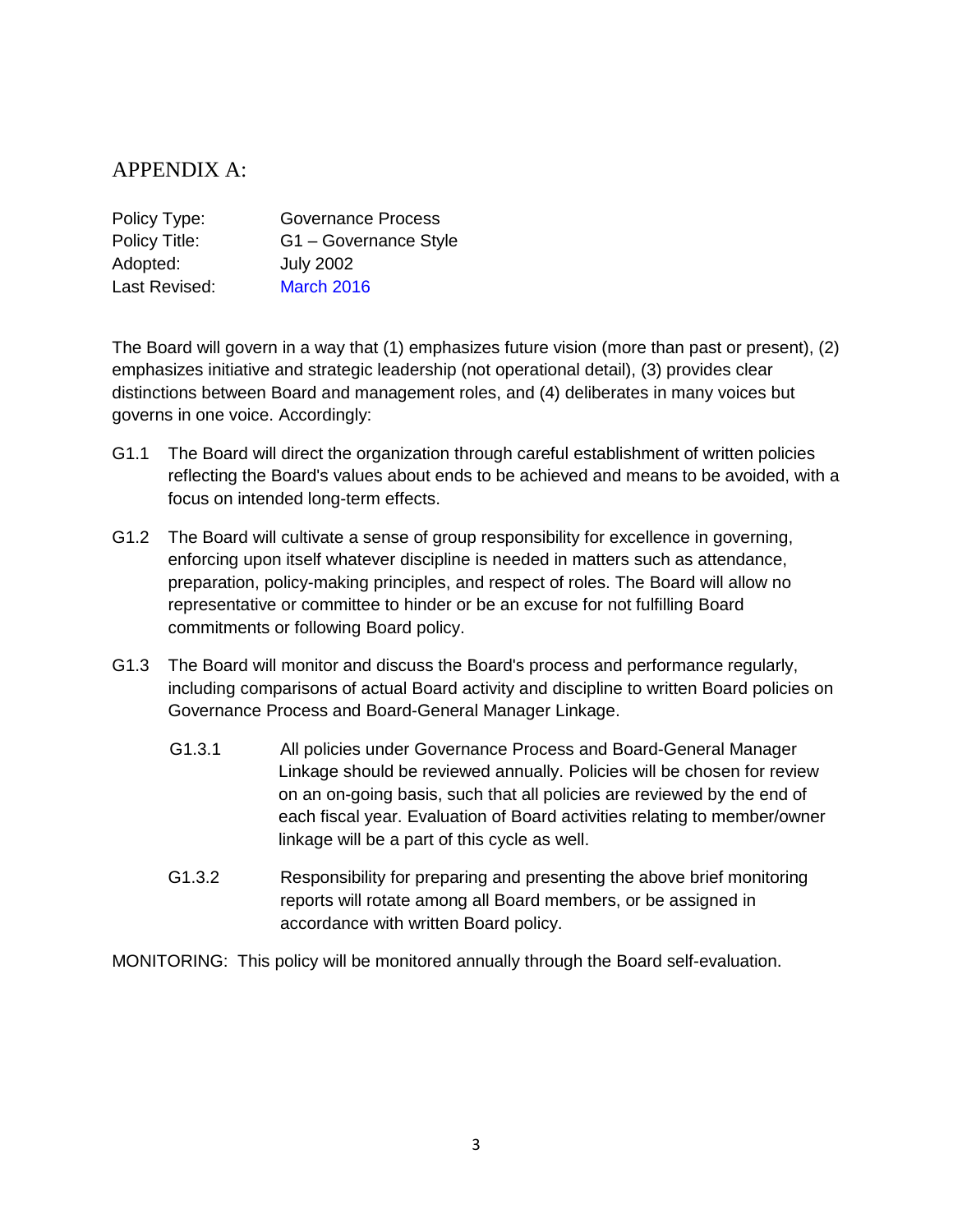## APPENDIX A:

| Policy Type:  | <b>Governance Process</b> |
|---------------|---------------------------|
| Policy Title: | G1 - Governance Style     |
| Adopted:      | <b>July 2002</b>          |
| Last Revised: | <b>March 2016</b>         |

The Board will govern in a way that (1) emphasizes future vision (more than past or present), (2) emphasizes initiative and strategic leadership (not operational detail), (3) provides clear distinctions between Board and management roles, and (4) deliberates in many voices but governs in one voice. Accordingly:

- G1.1 The Board will direct the organization through careful establishment of written policies reflecting the Board's values about ends to be achieved and means to be avoided, with a focus on intended long-term effects.
- G1.2 The Board will cultivate a sense of group responsibility for excellence in governing, enforcing upon itself whatever discipline is needed in matters such as attendance, preparation, policy-making principles, and respect of roles. The Board will allow no representative or committee to hinder or be an excuse for not fulfilling Board commitments or following Board policy.
- G1.3 The Board will monitor and discuss the Board's process and performance regularly, including comparisons of actual Board activity and discipline to written Board policies on Governance Process and Board-General Manager Linkage.
	- G1.3.1 All policies under Governance Process and Board-General Manager Linkage should be reviewed annually. Policies will be chosen for review on an on-going basis, such that all policies are reviewed by the end of each fiscal year. Evaluation of Board activities relating to member/owner linkage will be a part of this cycle as well.
	- G1.3.2 Responsibility for preparing and presenting the above brief monitoring reports will rotate among all Board members, or be assigned in accordance with written Board policy.

MONITORING: This policy will be monitored annually through the Board self-evaluation.